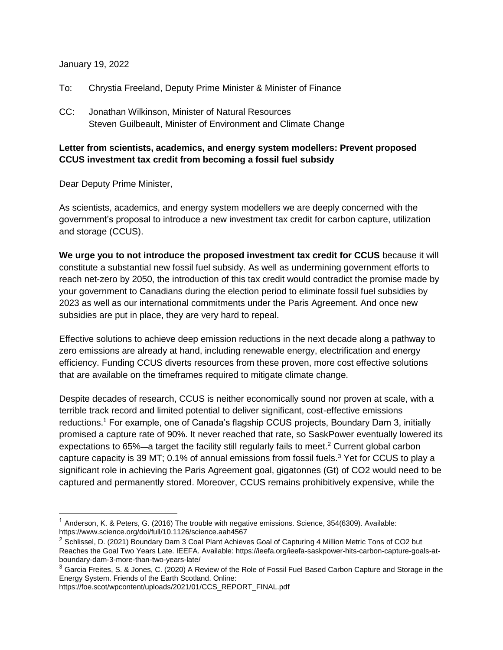## January 19, 2022

- To: Chrystia Freeland, Deputy Prime Minister & Minister of Finance
- CC: Jonathan Wilkinson, Minister of Natural Resources Steven Guilbeault, Minister of Environment and Climate Change

## **Letter from scientists, academics, and energy system modellers: Prevent proposed CCUS investment tax credit from becoming a fossil fuel subsidy**

Dear Deputy Prime Minister,

 $\overline{a}$ 

As scientists, academics, and energy system modellers we are deeply concerned with the government's proposal to introduce a new investment tax credit for carbon capture, utilization and storage (CCUS).

**We urge you to not introduce the proposed investment tax credit for CCUS** because it will constitute a substantial new fossil fuel subsidy. As well as undermining government efforts to reach net-zero by 2050, the introduction of this tax credit would contradict the promise made by your government to Canadians during the election period to eliminate fossil fuel subsidies by 2023 as well as our international commitments under the Paris Agreement. And once new subsidies are put in place, they are very hard to repeal.

Effective solutions to achieve deep emission reductions in the next decade along a pathway to zero emissions are already at hand, including renewable energy, electrification and energy efficiency. Funding CCUS diverts resources from these proven, more cost effective solutions that are available on the timeframes required to mitigate climate change.

Despite decades of research, CCUS is neither economically sound nor proven at scale, with a terrible track record and limited potential to deliver significant, cost-effective emissions reductions.<sup>1</sup> For example, one of Canada's flagship CCUS projects, Boundary Dam 3, initially promised a capture rate of 90%. It never reached that rate, so SaskPower eventually lowered its expectations to 65%—a target the facility still regularly fails to meet.<sup>2</sup> Current global carbon capture capacity is 39 MT; 0.1% of annual emissions from fossil fuels.<sup>3</sup> Yet for CCUS to play a significant role in achieving the Paris Agreement goal, gigatonnes (Gt) of CO2 would need to be captured and permanently stored. Moreover, CCUS remains prohibitively expensive, while the

 $1$  Anderson, K. & Peters, G. (2016) The trouble with negative emissions. Science, 354(6309). Available: https://www.science.org/doi/full/10.1126/science.aah4567

<sup>&</sup>lt;sup>2</sup> Schlissel, D. (2021) Boundary Dam 3 Coal Plant Achieves Goal of Capturing 4 Million Metric Tons of CO2 but Reaches the Goal Two Years Late. IEEFA. Available: https://ieefa.org/ieefa-saskpower-hits-carbon-capture-goals-atboundary-dam-3-more-than-two-years-late/

<sup>&</sup>lt;sup>3</sup> Garcia Freites, S. & Jones, C. (2020) A Review of the Role of Fossil Fuel Based Carbon Capture and Storage in the Energy System. Friends of the Earth Scotland. Online:

https://foe.scot/wpcontent/uploads/2021/01/CCS\_REPORT\_FINAL.pdf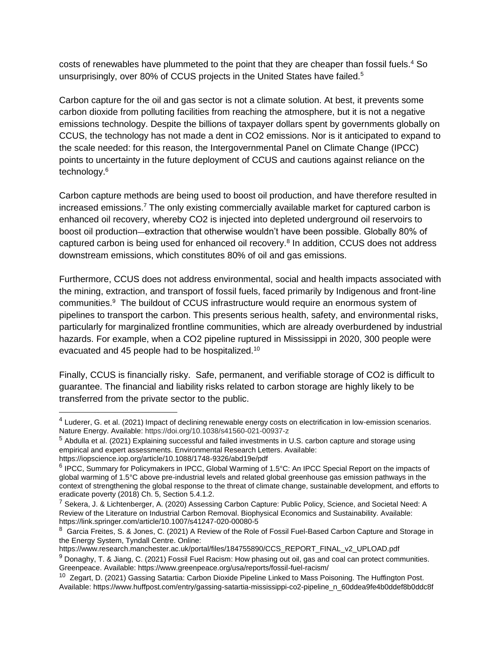costs of renewables have plummeted to the point that they are cheaper than fossil fuels.<sup>4</sup> So unsurprisingly, over 80% of CCUS projects in the United States have failed.<sup>5</sup>

Carbon capture for the oil and gas sector is not a climate solution. At best, it prevents some carbon dioxide from polluting facilities from reaching the atmosphere, but it is not a negative emissions technology. Despite the billions of taxpayer dollars spent by governments globally on CCUS, the technology has not made a dent in CO2 emissions. Nor is it anticipated to expand to the scale needed: for this reason, the Intergovernmental Panel on Climate Change (IPCC) points to uncertainty in the future deployment of CCUS and cautions against reliance on the technology.<sup>6</sup>

Carbon capture methods are being used to boost oil production, and have therefore resulted in increased emissions. <sup>7</sup> The only existing commercially available market for captured carbon is enhanced oil recovery, whereby CO2 is injected into depleted underground oil reservoirs to boost oil production—extraction that otherwise wouldn't have been possible. Globally 80% of captured carbon is being used for enhanced oil recovery.<sup>8</sup> In addition, CCUS does not address downstream emissions, which constitutes 80% of oil and gas emissions.

Furthermore, CCUS does not address environmental, social and health impacts associated with the mining, extraction, and transport of fossil fuels, faced primarily by Indigenous and front-line communities.<sup>9</sup> The buildout of CCUS infrastructure would require an enormous system of pipelines to transport the carbon. This presents serious health, safety, and environmental risks, particularly for marginalized frontline communities, which are already overburdened by industrial hazards. For example, when a CO2 pipeline ruptured in Mississippi in 2020, 300 people were evacuated and 45 people had to be hospitalized.<sup>10</sup>

Finally, CCUS is financially risky. Safe, permanent, and verifiable storage of CO2 is difficult to guarantee. The financial and liability risks related to carbon storage are highly likely to be transferred from the private sector to the public.

https://www.research.manchester.ac.uk/portal/files/184755890/CCS\_REPORT\_FINAL\_v2\_UPLOAD.pdf

<sup>&</sup>lt;sup>4</sup> Luderer, G. et al. (2021) Impact of declining renewable energy costs on electrification in low-emission scenarios. Nature Energy. Available: https://doi.org/10.1038/s41560-021-00937-z

<sup>5</sup> Abdulla et al. (2021) Explaining successful and failed investments in U.S. carbon capture and storage using empirical and expert assessments. Environmental Research Letters. Available:

https://iopscience.iop.org/article/10.1088/1748-9326/abd19e/pdf

<sup>&</sup>lt;sup>6</sup> IPCC, Summary for Policymakers in IPCC, Global Warming of 1.5°C: An IPCC Special Report on the impacts of global warming of 1.5°C above pre-industrial levels and related global greenhouse gas emission pathways in the context of strengthening the global response to the threat of climate change, sustainable development, and efforts to eradicate poverty (2018) Ch. 5, Section 5.4.1.2.

<sup>&</sup>lt;sup>7</sup> Sekera, J. & Lichtenberger, A. (2020) Assessing Carbon Capture: Public Policy, Science, and Societal Need: A Review of the Literature on Industrial Carbon Removal. Biophysical Economics and Sustainability. Available: https://link.springer.com/article/10.1007/s41247-020-00080-5

 $^8$  Garcia Freites, S. & Jones, C. (2021) A Review of the Role of Fossil Fuel-Based Carbon Capture and Storage in the Energy System, Tyndall Centre. Online:

<sup>9</sup> Donaghy, T. & Jiang, C. (2021) Fossil Fuel Racism: How phasing out oil, gas and coal can protect communities. Greenpeace. Available: https://www.greenpeace.org/usa/reports/fossil-fuel-racism/

<sup>&</sup>lt;sup>10</sup> Zegart, D. (2021) Gassing Satartia: Carbon Dioxide Pipeline Linked to Mass Poisoning. The Huffington Post. Available: https://www.huffpost.com/entry/gassing-satartia-mississippi-co2-pipeline\_n\_60ddea9fe4b0ddef8b0ddc8f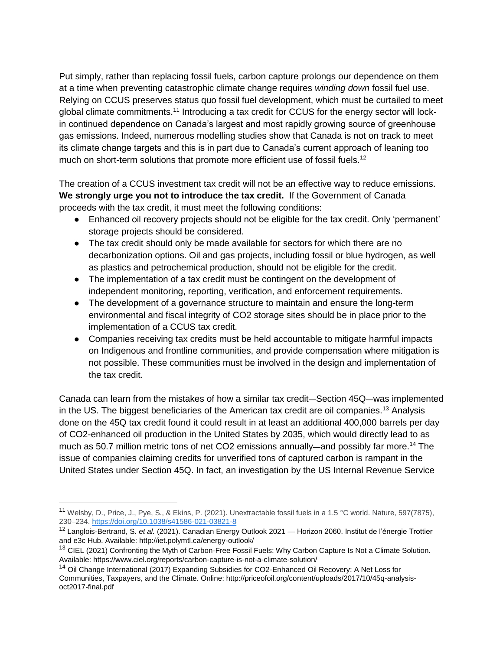Put simply, rather than replacing fossil fuels, carbon capture prolongs our dependence on them at a time when preventing catastrophic climate change requires *winding down* fossil fuel use. Relying on CCUS preserves status quo fossil fuel development, which must be curtailed to meet global climate commitments.<sup>11</sup> Introducing a tax credit for CCUS for the energy sector will lockin continued dependence on Canada's largest and most rapidly growing source of greenhouse gas emissions. Indeed, numerous modelling studies show that Canada is not on track to meet its climate change targets and this is in part due to Canada's current approach of leaning too much on short-term solutions that promote more efficient use of fossil fuels.<sup>12</sup>

The creation of a CCUS investment tax credit will not be an effective way to reduce emissions. **We strongly urge you not to introduce the tax credit.** If the Government of Canada proceeds with the tax credit, it must meet the following conditions:

- Enhanced oil recovery projects should not be eligible for the tax credit. Only 'permanent' storage projects should be considered.
- The tax credit should only be made available for sectors for which there are no decarbonization options. Oil and gas projects, including fossil or blue hydrogen, as well as plastics and petrochemical production, should not be eligible for the credit.
- The implementation of a tax credit must be contingent on the development of independent monitoring, reporting, verification, and enforcement requirements.
- The development of a governance structure to maintain and ensure the long-term environmental and fiscal integrity of CO2 storage sites should be in place prior to the implementation of a CCUS tax credit.
- Companies receiving tax credits must be held accountable to mitigate harmful impacts on Indigenous and frontline communities, and provide compensation where mitigation is not possible. These communities must be involved in the design and implementation of the tax credit.

Canada can learn from the mistakes of how a similar tax credit—Section 45Q—was implemented in the US. The biggest beneficiaries of the American tax credit are oil companies.<sup>13</sup> Analysis done on the 45Q tax credit found it could result in at least an additional 400,000 barrels per day of CO2-enhanced oil production in the United States by 2035, which would directly lead to as much as 50.7 million metric tons of net CO2 emissions annually—and possibly far more.<sup>14</sup> The issue of companies claiming credits for unverified tons of captured carbon is rampant in the United States under Section 45Q. In fact, an investigation by the US Internal Revenue Service

<sup>&</sup>lt;sup>11</sup> Welsby, D., Price, J., Pye, S., & Ekins, P. (2021). Unextractable fossil fuels in a 1.5 °C world. Nature, 597(7875). 230–234.<https://doi.org/10.1038/s41586-021-03821-8>

<sup>12</sup> Langlois-Bertrand, S. *et al.* (2021). Canadian Energy Outlook 2021 — Horizon 2060. Institut de l'énergie Trottier and e3c Hub. Available: http://iet.polymtl.ca/energy-outlook/

<sup>&</sup>lt;sup>13</sup> CIEL (2021) Confronting the Myth of Carbon-Free Fossil Fuels: Why Carbon Capture Is Not a Climate Solution. Available: https://www.ciel.org/reports/carbon-capture-is-not-a-climate-solution/

<sup>&</sup>lt;sup>14</sup> Oil Change International (2017) Expanding Subsidies for CO2-Enhanced Oil Recovery: A Net Loss for Communities, Taxpayers, and the Climate. Online: http://priceofoil.org/content/uploads/2017/10/45q-analysisoct2017-final.pdf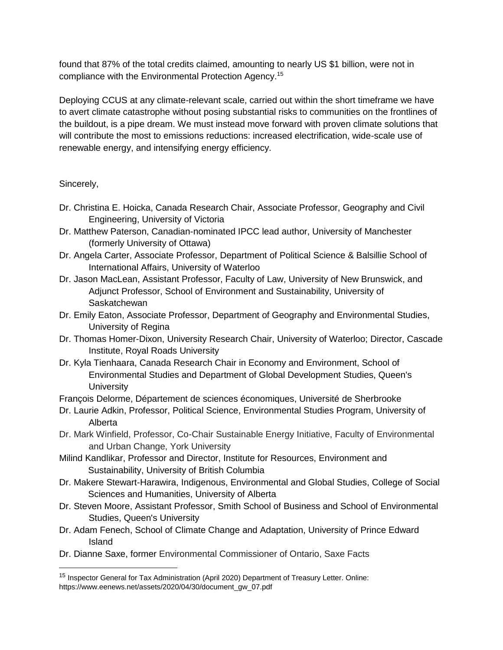found that 87% of the total credits claimed, amounting to nearly US \$1 billion, were not in compliance with the Environmental Protection Agency.<sup>15</sup>

Deploying CCUS at any climate-relevant scale, carried out within the short timeframe we have to avert climate catastrophe without posing substantial risks to communities on the frontlines of the buildout, is a pipe dream. We must instead move forward with proven climate solutions that will contribute the most to emissions reductions: increased electrification, wide-scale use of renewable energy, and intensifying energy efficiency.

Sincerely,

 $\overline{a}$ 

- Dr. Christina E. Hoicka, Canada Research Chair, Associate Professor, Geography and Civil Engineering, University of Victoria
- Dr. Matthew Paterson, Canadian-nominated IPCC lead author, University of Manchester (formerly University of Ottawa)
- Dr. Angela Carter, Associate Professor, Department of Political Science & Balsillie School of International Affairs, University of Waterloo
- Dr. Jason MacLean, Assistant Professor, Faculty of Law, University of New Brunswick, and Adjunct Professor, School of Environment and Sustainability, University of **Saskatchewan**
- Dr. Emily Eaton, Associate Professor, Department of Geography and Environmental Studies, University of Regina
- Dr. Thomas Homer-Dixon, University Research Chair, University of Waterloo; Director, Cascade Institute, Royal Roads University
- Dr. Kyla Tienhaara, Canada Research Chair in Economy and Environment, School of Environmental Studies and Department of Global Development Studies, Queen's **University**

François Delorme, Département de sciences économiques, Université de Sherbrooke

- Dr. Laurie Adkin, Professor, Political Science, Environmental Studies Program, University of Alberta
- Dr. Mark Winfield, Professor, Co-Chair Sustainable Energy Initiative, Faculty of Environmental and Urban Change, York University
- Milind Kandlikar, Professor and Director, Institute for Resources, Environment and Sustainability, University of British Columbia
- Dr. Makere Stewart-Harawira, Indigenous, Environmental and Global Studies, College of Social Sciences and Humanities, University of Alberta
- Dr. Steven Moore, Assistant Professor, Smith School of Business and School of Environmental Studies, Queen's University
- Dr. Adam Fenech, School of Climate Change and Adaptation, University of Prince Edward Island
- Dr. Dianne Saxe, former Environmental Commissioner of Ontario, Saxe Facts

<sup>&</sup>lt;sup>15</sup> Inspector General for Tax Administration (April 2020) Department of Treasury Letter. Online: https://www.eenews.net/assets/2020/04/30/document\_gw\_07.pdf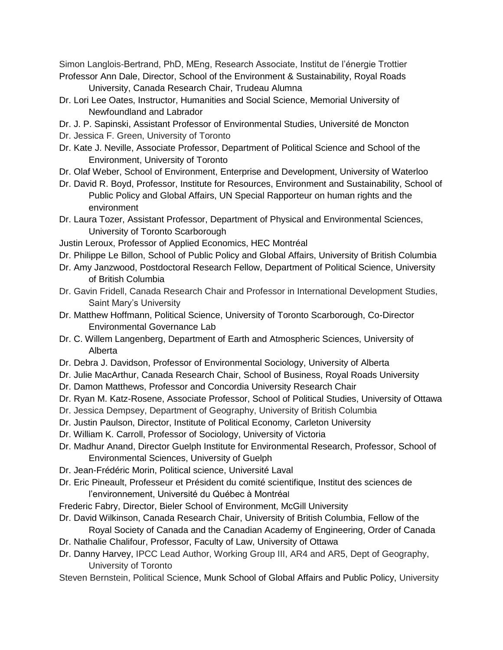Simon Langlois-Bertrand, PhD, MEng, Research Associate, Institut de l'énergie Trottier Professor Ann Dale, Director, School of the Environment & Sustainability, Royal Roads

University, Canada Research Chair, Trudeau Alumna

- Dr. Lori Lee Oates, Instructor, Humanities and Social Science, Memorial University of Newfoundland and Labrador
- Dr. J. P. Sapinski, Assistant Professor of Environmental Studies, Université de Moncton
- Dr. Jessica F. Green, University of Toronto
- Dr. Kate J. Neville, Associate Professor, Department of Political Science and School of the Environment, University of Toronto
- Dr. Olaf Weber, School of Environment, Enterprise and Development, University of Waterloo
- Dr. David R. Boyd, Professor, Institute for Resources, Environment and Sustainability, School of Public Policy and Global Affairs, UN Special Rapporteur on human rights and the environment
- Dr. Laura Tozer, Assistant Professor, Department of Physical and Environmental Sciences, University of Toronto Scarborough
- Justin Leroux, Professor of Applied Economics, HEC Montréal
- Dr. Philippe Le Billon, School of Public Policy and Global Affairs, University of British Columbia
- Dr. Amy Janzwood, Postdoctoral Research Fellow, Department of Political Science, University of British Columbia
- Dr. Gavin Fridell, Canada Research Chair and Professor in International Development Studies, Saint Mary's University
- Dr. Matthew Hoffmann, Political Science, University of Toronto Scarborough, Co-Director Environmental Governance Lab
- Dr. C. Willem Langenberg, Department of Earth and Atmospheric Sciences, University of Alberta
- Dr. Debra J. Davidson, Professor of Environmental Sociology, University of Alberta
- Dr. Julie MacArthur, Canada Research Chair, School of Business, Royal Roads University
- Dr. Damon Matthews, Professor and Concordia University Research Chair
- Dr. Ryan M. Katz-Rosene, Associate Professor, School of Political Studies, University of Ottawa
- Dr. Jessica Dempsey, Department of Geography, University of British Columbia
- Dr. Justin Paulson, Director, Institute of Political Economy, Carleton University
- Dr. William K. Carroll, Professor of Sociology, University of Victoria
- Dr. Madhur Anand, Director Guelph Institute for Environmental Research, Professor, School of Environmental Sciences, University of Guelph
- Dr. Jean-Frédéric Morin, Political science, Université Laval
- Dr. Eric Pineault, Professeur et Président du comité scientifique, Institut des sciences de l'environnement, Université du Québec à Montréal
- Frederic Fabry, Director, Bieler School of Environment, McGill University
- Dr. David Wilkinson, Canada Research Chair, University of British Columbia, Fellow of the Royal Society of Canada and the Canadian Academy of Engineering, Order of Canada
- Dr. Nathalie Chalifour, Professor, Faculty of Law, University of Ottawa
- Dr. Danny Harvey, IPCC Lead Author, Working Group III, AR4 and AR5, Dept of Geography, University of Toronto
- Steven Bernstein, Political Science, Munk School of Global Affairs and Public Policy, University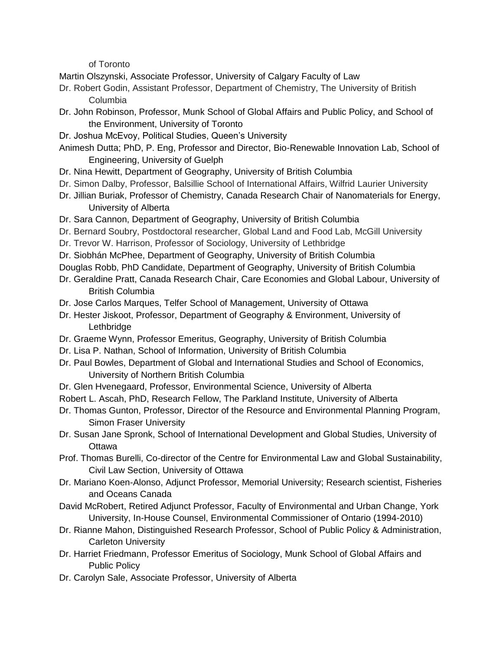of Toronto

Martin Olszynski, Associate Professor, University of Calgary Faculty of Law

- Dr. Robert Godin, Assistant Professor, Department of Chemistry, The University of British Columbia
- Dr. John Robinson, Professor, Munk School of Global Affairs and Public Policy, and School of the Environment, University of Toronto
- Dr. Joshua McEvoy, Political Studies, Queen's University
- Animesh Dutta; PhD, P. Eng, Professor and Director, Bio-Renewable Innovation Lab, School of Engineering, University of Guelph
- Dr. Nina Hewitt, Department of Geography, University of British Columbia
- Dr. Simon Dalby, Professor, Balsillie School of International Affairs, Wilfrid Laurier University
- Dr. Jillian Buriak, Professor of Chemistry, Canada Research Chair of Nanomaterials for Energy, University of Alberta
- Dr. Sara Cannon, Department of Geography, University of British Columbia
- Dr. Bernard Soubry, Postdoctoral researcher, Global Land and Food Lab, McGill University
- Dr. Trevor W. Harrison, Professor of Sociology, University of Lethbridge
- Dr. Siobhán McPhee, Department of Geography, University of British Columbia
- Douglas Robb, PhD Candidate, Department of Geography, University of British Columbia
- Dr. Geraldine Pratt, Canada Research Chair, Care Economies and Global Labour, University of British Columbia
- Dr. Jose Carlos Marques, Telfer School of Management, University of Ottawa
- Dr. Hester Jiskoot, Professor, Department of Geography & Environment, University of **Lethbridge**
- Dr. Graeme Wynn, Professor Emeritus, Geography, University of British Columbia
- Dr. Lisa P. Nathan, School of Information, University of British Columbia
- Dr. Paul Bowles, Department of Global and International Studies and School of Economics, University of Northern British Columbia
- Dr. Glen Hvenegaard, Professor, Environmental Science, University of Alberta
- Robert L. Ascah, PhD, Research Fellow, The Parkland Institute, University of Alberta
- Dr. Thomas Gunton, Professor, Director of the Resource and Environmental Planning Program, Simon Fraser University
- Dr. Susan Jane Spronk, School of International Development and Global Studies, University of **Ottawa**
- Prof. Thomas Burelli, Co-director of the Centre for Environmental Law and Global Sustainability, Civil Law Section, University of Ottawa
- Dr. Mariano Koen-Alonso, Adjunct Professor, Memorial University; Research scientist, Fisheries and Oceans Canada
- David McRobert, Retired Adjunct Professor, Faculty of Environmental and Urban Change, York University, In-House Counsel, Environmental Commissioner of Ontario (1994-2010)
- Dr. Rianne Mahon, Distinguished Research Professor, School of Public Policy & Administration, Carleton University
- Dr. Harriet Friedmann, Professor Emeritus of Sociology, Munk School of Global Affairs and Public Policy
- Dr. Carolyn Sale, Associate Professor, University of Alberta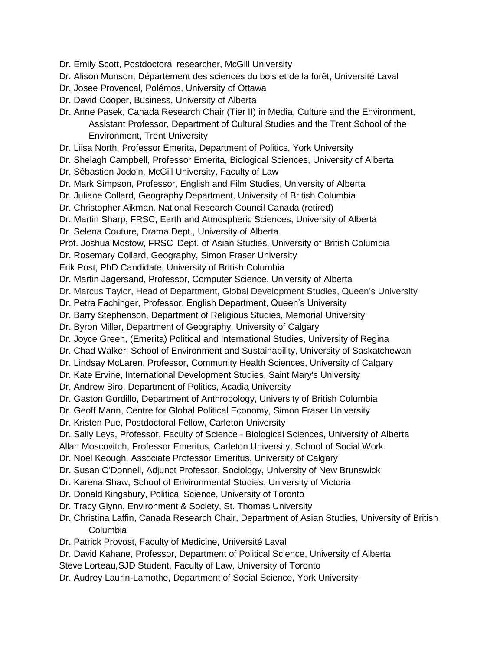- Dr. Emily Scott, Postdoctoral researcher, McGill University
- Dr. Alison Munson, Département des sciences du bois et de la forêt, Université Laval
- Dr. Josee Provencal, Polémos, University of Ottawa
- Dr. David Cooper, Business, University of Alberta
- Dr. Anne Pasek, Canada Research Chair (Tier II) in Media, Culture and the Environment, Assistant Professor, Department of Cultural Studies and the Trent School of the Environment, Trent University
- Dr. Liisa North, Professor Emerita, Department of Politics, York University
- Dr. Shelagh Campbell, Professor Emerita, Biological Sciences, University of Alberta
- Dr. Sébastien Jodoin, McGill University, Faculty of Law
- Dr. Mark Simpson, Professor, English and Film Studies, University of Alberta
- Dr. Juliane Collard, Geography Department, University of British Columbia
- Dr. Christopher Aikman, National Research Council Canada (retired)
- Dr. Martin Sharp, FRSC, Earth and Atmospheric Sciences, University of Alberta
- Dr. Selena Couture, Drama Dept., University of Alberta
- Prof. Joshua Mostow, FRSC Dept. of Asian Studies, University of British Columbia
- Dr. Rosemary Collard, Geography, Simon Fraser University
- Erik Post, PhD Candidate, University of British Columbia
- Dr. Martin Jagersand, Professor, Computer Science, University of Alberta
- Dr. Marcus Taylor, Head of Department, Global Development Studies, Queen's University
- Dr. Petra Fachinger, Professor, English Department, Queen's University
- Dr. Barry Stephenson, Department of Religious Studies, Memorial University
- Dr. Byron Miller, Department of Geography, University of Calgary
- Dr. Joyce Green, (Emerita) Political and International Studies, University of Regina
- Dr. Chad Walker, School of Environment and Sustainability, University of Saskatchewan
- Dr. Lindsay McLaren, Professor, Community Health Sciences, University of Calgary
- Dr. Kate Ervine, International Development Studies, Saint Mary's University
- Dr. Andrew Biro, Department of Politics, Acadia University
- Dr. Gaston Gordillo, Department of Anthropology, University of British Columbia
- Dr. Geoff Mann, Centre for Global Political Economy, Simon Fraser University
- Dr. Kristen Pue, Postdoctoral Fellow, Carleton University
- Dr. Sally Leys, Professor, Faculty of Science Biological Sciences, University of Alberta
- Allan Moscovitch, Professor Emeritus, Carleton University, School of Social Work
- Dr. Noel Keough, Associate Professor Emeritus, University of Calgary
- Dr. Susan O'Donnell, Adjunct Professor, Sociology, University of New Brunswick
- Dr. Karena Shaw, School of Environmental Studies, University of Victoria
- Dr. Donald Kingsbury, Political Science, University of Toronto
- Dr. Tracy Glynn, Environment & Society, St. Thomas University
- Dr. Christina Laffin, Canada Research Chair, Department of Asian Studies, University of British Columbia
- Dr. Patrick Provost, Faculty of Medicine, Université Laval
- Dr. David Kahane, Professor, Department of Political Science, University of Alberta
- Steve Lorteau,SJD Student, Faculty of Law, University of Toronto
- Dr. Audrey Laurin-Lamothe, Department of Social Science, York University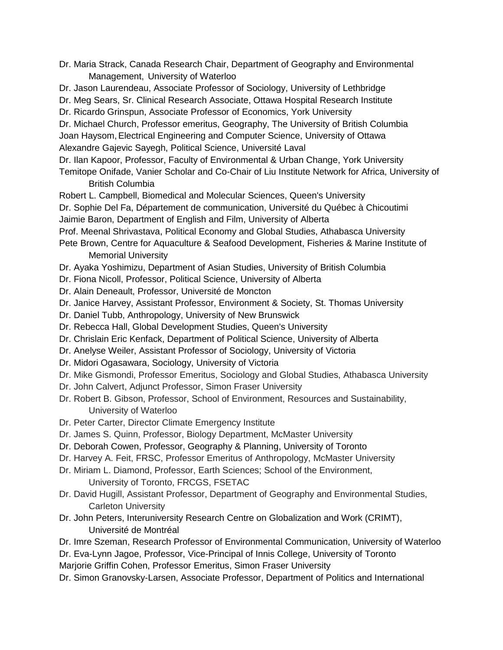- Dr. Maria Strack, Canada Research Chair, Department of Geography and Environmental Management, University of Waterloo
- Dr. Jason Laurendeau, Associate Professor of Sociology, University of Lethbridge
- Dr. Meg Sears, Sr. Clinical Research Associate, Ottawa Hospital Research Institute
- Dr. Ricardo Grinspun, Associate Professor of Economics, York University

Dr. Michael Church, Professor emeritus, Geography, The University of British Columbia Joan Haysom,Electrical Engineering and Computer Science, University of Ottawa Alexandre Gajevic Sayegh, Political Science, Université Laval

- Dr. Ilan Kapoor, Professor, Faculty of Environmental & Urban Change, York University
- Temitope Onifade, Vanier Scholar and Co-Chair of Liu Institute Network for Africa, University of British Columbia
- Robert L. Campbell, Biomedical and Molecular Sciences, Queen's University
- Dr. Sophie Del Fa, Département de communication, Université du Québec à Chicoutimi
- Jaimie Baron, Department of English and Film, University of Alberta
- Prof. Meenal Shrivastava, Political Economy and Global Studies, Athabasca University
- Pete Brown, Centre for Aquaculture & Seafood Development, Fisheries & Marine Institute of Memorial University
- Dr. Ayaka Yoshimizu, Department of Asian Studies, University of British Columbia
- Dr. Fiona Nicoll, Professor, Political Science, University of Alberta
- Dr. Alain Deneault, Professor, Université de Moncton
- Dr. Janice Harvey, Assistant Professor, Environment & Society, St. Thomas University
- Dr. Daniel Tubb, Anthropology, University of New Brunswick
- Dr. Rebecca Hall, Global Development Studies, Queen's University
- Dr. Chrislain Eric Kenfack, Department of Political Science, University of Alberta
- Dr. Anelyse Weiler, Assistant Professor of Sociology, University of Victoria
- Dr. Midori Ogasawara, Sociology, University of Victoria
- Dr. Mike Gismondi, Professor Emeritus, Sociology and Global Studies, Athabasca University
- Dr. John Calvert, Adjunct Professor, Simon Fraser University
- Dr. Robert B. Gibson, Professor, School of Environment, Resources and Sustainability, University of Waterloo
- Dr. Peter Carter, Director Climate Emergency Institute
- Dr. James S. Quinn, Professor, Biology Department, McMaster University
- Dr. Deborah Cowen, Professor, Geography & Planning, University of Toronto
- Dr. Harvey A. Feit, FRSC, Professor Emeritus of Anthropology, McMaster University
- Dr. Miriam L. Diamond, Professor, Earth Sciences; School of the Environment,
	- University of Toronto, FRCGS, FSETAC
- Dr. David Hugill, Assistant Professor, Department of Geography and Environmental Studies, Carleton University
- Dr. John Peters, Interuniversity Research Centre on Globalization and Work (CRIMT), Université de Montréal
- Dr. Imre Szeman, Research Professor of Environmental Communication, University of Waterloo Dr. Eva-Lynn Jagoe, Professor, Vice-Principal of Innis College, University of Toronto
- Marjorie Griffin Cohen, Professor Emeritus, Simon Fraser University
- Dr. Simon Granovsky-Larsen, Associate Professor, Department of Politics and International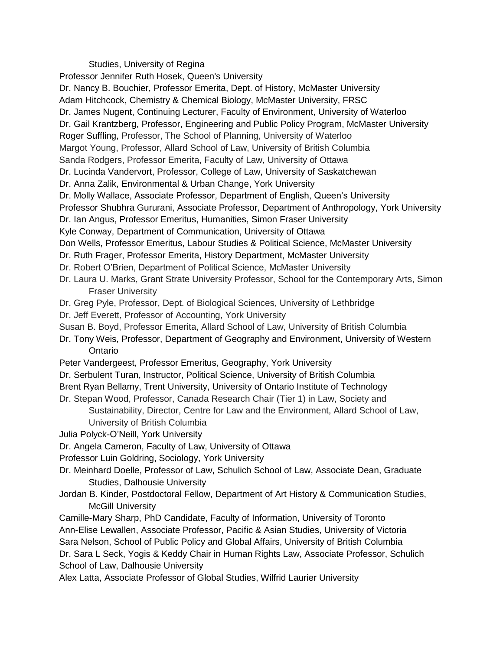## Studies, University of Regina

Professor Jennifer Ruth Hosek, Queen's University

Dr. Nancy B. Bouchier, Professor Emerita, Dept. of History, McMaster University Adam Hitchcock, Chemistry & Chemical Biology, McMaster University, FRSC Dr. James Nugent, Continuing Lecturer, Faculty of Environment, University of Waterloo Dr. Gail Krantzberg, Professor, Engineering and Public Policy Program, McMaster University Roger Suffling, Professor, The School of Planning, University of Waterloo Margot Young, Professor, Allard School of Law, University of British Columbia Sanda Rodgers, Professor Emerita, Faculty of Law, University of Ottawa Dr. Lucinda Vandervort, Professor, College of Law, University of Saskatchewan Dr. Anna Zalik, Environmental & Urban Change, York University Dr. Molly Wallace, Associate Professor, Department of English, Queen's University Professor Shubhra Gururani, Associate Professor, Department of Anthropology, York University Dr. Ian Angus, Professor Emeritus, Humanities, Simon Fraser University Kyle Conway, Department of Communication, University of Ottawa Don Wells, Professor Emeritus, Labour Studies & Political Science, McMaster University Dr. Ruth Frager, Professor Emerita, History Department, McMaster University Dr. Robert O'Brien, Department of Political Science, McMaster University Dr. Laura U. Marks, Grant Strate University Professor, School for the Contemporary Arts, Simon Fraser University Dr. Greg Pyle, Professor, Dept. of Biological Sciences, University of Lethbridge Dr. Jeff Everett, Professor of Accounting, York University Susan B. Boyd, Professor Emerita, Allard School of Law, University of British Columbia Dr. Tony Weis, Professor, Department of Geography and Environment, University of Western **Ontario** Peter Vandergeest, Professor Emeritus, Geography, York University Dr. Serbulent Turan, Instructor, Political Science, University of British Columbia Brent Ryan Bellamy, Trent University, University of Ontario Institute of Technology Dr. Stepan Wood, Professor, Canada Research Chair (Tier 1) in Law, Society and Sustainability, Director, Centre for Law and the Environment, Allard School of Law, University of British Columbia Julia Polyck-O'Neill, York University Dr. Angela Cameron, Faculty of Law, University of Ottawa Professor Luin Goldring, Sociology, York University Dr. Meinhard Doelle, Professor of Law, Schulich School of Law, Associate Dean, Graduate Studies, Dalhousie University Jordan B. Kinder, Postdoctoral Fellow, Department of Art History & Communication Studies, McGill University Camille-Mary Sharp, PhD Candidate, Faculty of Information, University of Toronto Ann-Elise Lewallen, Associate Professor, Pacific & Asian Studies, University of Victoria Sara Nelson, School of Public Policy and Global Affairs, University of British Columbia Dr. Sara L Seck, Yogis & Keddy Chair in Human Rights Law, Associate Professor, Schulich School of Law, Dalhousie University

Alex Latta, Associate Professor of Global Studies, Wilfrid Laurier University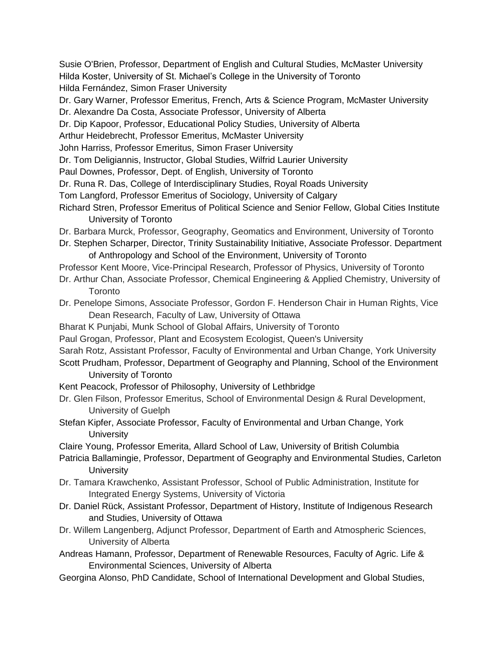Susie O'Brien, Professor, Department of English and Cultural Studies, McMaster University Hilda Koster, University of St. Michael's College in the University of Toronto Hilda Fernández, Simon Fraser University

Dr. Gary Warner, Professor Emeritus, French, Arts & Science Program, McMaster University

Dr. Alexandre Da Costa, Associate Professor, University of Alberta

Dr. Dip Kapoor, Professor, Educational Policy Studies, University of Alberta

Arthur Heidebrecht, Professor Emeritus, McMaster University

John Harriss, Professor Emeritus, Simon Fraser University

Dr. Tom Deligiannis, Instructor, Global Studies, Wilfrid Laurier University

Paul Downes, Professor, Dept. of English, University of Toronto

Dr. Runa R. Das, College of Interdisciplinary Studies, Royal Roads University

Tom Langford, Professor Emeritus of Sociology, University of Calgary

- Richard Stren, Professor Emeritus of Political Science and Senior Fellow, Global Cities Institute University of Toronto
- Dr. Barbara Murck, Professor, Geography, Geomatics and Environment, University of Toronto
- Dr. Stephen Scharper, Director, Trinity Sustainability Initiative, Associate Professor. Department of Anthropology and School of the Environment, University of Toronto
- Professor Kent Moore, Vice-Principal Research, Professor of Physics, University of Toronto
- Dr. Arthur Chan, Associate Professor, Chemical Engineering & Applied Chemistry, University of **Toronto**
- Dr. Penelope Simons, Associate Professor, Gordon F. Henderson Chair in Human Rights, Vice Dean Research, Faculty of Law, University of Ottawa
- Bharat K Punjabi, Munk School of Global Affairs, University of Toronto
- Paul Grogan, Professor, Plant and Ecosystem Ecologist, Queen's University

Sarah Rotz, Assistant Professor, Faculty of Environmental and Urban Change, York University

Scott Prudham, Professor, Department of Geography and Planning, School of the Environment University of Toronto

- Kent Peacock, Professor of Philosophy, University of Lethbridge
- Dr. Glen Filson, Professor Emeritus, School of Environmental Design & Rural Development, University of Guelph
- Stefan Kipfer, Associate Professor, Faculty of Environmental and Urban Change, York **University**

Claire Young, Professor Emerita, Allard School of Law, University of British Columbia

- Patricia Ballamingie, Professor, Department of Geography and Environmental Studies, Carleton **University**
- Dr. Tamara Krawchenko, Assistant Professor, School of Public Administration, Institute for Integrated Energy Systems, University of Victoria
- Dr. Daniel Rück, Assistant Professor, Department of History, Institute of Indigenous Research and Studies, University of Ottawa
- Dr. Willem Langenberg, Adjunct Professor, Department of Earth and Atmospheric Sciences, University of Alberta
- Andreas Hamann, Professor, Department of Renewable Resources, Faculty of Agric. Life & Environmental Sciences, University of Alberta
- Georgina Alonso, PhD Candidate, School of International Development and Global Studies,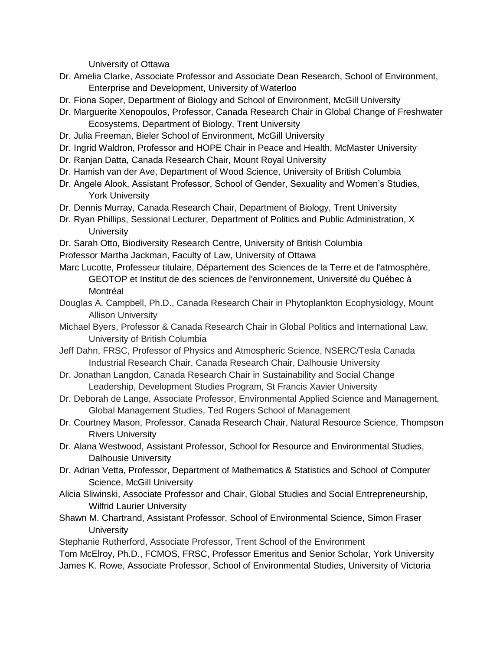University of Ottawa

- Dr. Amelia Clarke, Associate Professor and Associate Dean Research, School of Environment, Enterprise and Development, University of Waterloo
- Dr. Fiona Soper, Department of Biology and School of Environment, McGill University
- Dr. Marguerite Xenopoulos, Professor, Canada Research Chair in Global Change of Freshwater Ecosystems, Department of Biology, Trent University
- Dr. Julia Freeman, Bieler School of Environment, McGill University
- Dr. Ingrid Waldron, Professor and HOPE Chair in Peace and Health, McMaster University
- Dr. Ranjan Datta, Canada Research Chair, Mount Royal University
- Dr. Hamish van der Ave, Department of Wood Science, University of British Columbia
- Dr. Angele Alook, Assistant Professor, School of Gender, Sexuality and Women's Studies, York University
- Dr. Dennis Murray, Canada Research Chair, Department of Biology, Trent University
- Dr. Ryan Phillips, Sessional Lecturer, Department of Politics and Public Administration, X **University**
- Dr. Sarah Otto, Biodiversity Research Centre, University of British Columbia
- Professor Martha Jackman, Faculty of Law, University of Ottawa

Marc Lucotte, Professeur titulaire, Département des Sciences de la Terre et de l'atmosphère, GEOTOP et Institut de des sciences de l'environnement, Université du Québec à Montréal

- Douglas A. Campbell, Ph.D., Canada Research Chair in Phytoplankton Ecophysiology, Mount Allison University
- Michael Byers, Professor & Canada Research Chair in Global Politics and International Law, University of British Columbia
- Jeff Dahn, FRSC, Professor of Physics and Atmospheric Science, NSERC/Tesla Canada Industrial Research Chair, Canada Research Chair, Dalhousie University
- Dr. Jonathan Langdon, Canada Research Chair in Sustainability and Social Change Leadership, Development Studies Program, St Francis Xavier University
- Dr. Deborah de Lange, Associate Professor, Environmental Applied Science and Management, Global Management Studies, Ted Rogers School of Management
- Dr. Courtney Mason, Professor, Canada Research Chair, Natural Resource Science, Thompson Rivers University
- Dr. Alana Westwood, Assistant Professor, School for Resource and Environmental Studies, Dalhousie University
- Dr. Adrian Vetta, Professor, Department of Mathematics & Statistics and School of Computer Science, McGill University
- Alicia Sliwinski, Associate Professor and Chair, Global Studies and Social Entrepreneurship, Wilfrid Laurier University
- Shawn M. Chartrand, Assistant Professor, School of Environmental Science, Simon Fraser **University**

Stephanie Rutherford, Associate Professor, Trent School of the Environment

Tom McElroy, Ph.D., FCMOS, FRSC, Professor Emeritus and Senior Scholar, York University James K. Rowe, Associate Professor, School of Environmental Studies, University of Victoria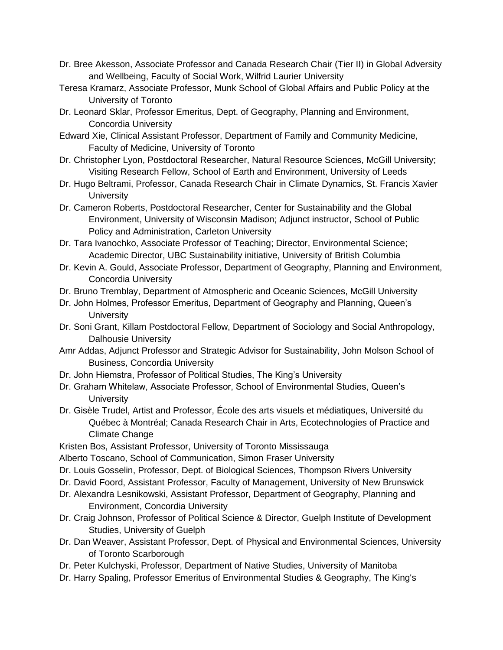- Dr. Bree Akesson, Associate Professor and Canada Research Chair (Tier II) in Global Adversity and Wellbeing, Faculty of Social Work, Wilfrid Laurier University
- Teresa Kramarz, Associate Professor, Munk School of Global Affairs and Public Policy at the University of Toronto
- Dr. Leonard Sklar, Professor Emeritus, Dept. of Geography, Planning and Environment, Concordia University
- Edward Xie, Clinical Assistant Professor, Department of Family and Community Medicine, Faculty of Medicine, University of Toronto
- Dr. Christopher Lyon, Postdoctoral Researcher, Natural Resource Sciences, McGill University; Visiting Research Fellow, School of Earth and Environment, University of Leeds
- Dr. Hugo Beltrami, Professor, Canada Research Chair in Climate Dynamics, St. Francis Xavier **University**
- Dr. Cameron Roberts, Postdoctoral Researcher, Center for Sustainability and the Global Environment, University of Wisconsin Madison; Adjunct instructor, School of Public Policy and Administration, Carleton University
- Dr. Tara Ivanochko, Associate Professor of Teaching; Director, Environmental Science; Academic Director, UBC Sustainability initiative, University of British Columbia
- Dr. Kevin A. Gould, Associate Professor, Department of Geography, Planning and Environment, Concordia University
- Dr. Bruno Tremblay, Department of Atmospheric and Oceanic Sciences, McGill University
- Dr. John Holmes, Professor Emeritus, Department of Geography and Planning, Queen's **University**
- Dr. Soni Grant, Killam Postdoctoral Fellow, Department of Sociology and Social Anthropology, Dalhousie University
- Amr Addas, Adjunct Professor and Strategic Advisor for Sustainability, John Molson School of Business, Concordia University
- Dr. John Hiemstra, Professor of Political Studies, The King's University
- Dr. Graham Whitelaw, Associate Professor, School of Environmental Studies, Queen's **University**
- Dr. Gisèle Trudel, Artist and Professor, École des arts visuels et médiatiques, Université du Québec à Montréal; Canada Research Chair in Arts, Ecotechnologies of Practice and Climate Change
- Kristen Bos, Assistant Professor, University of Toronto Mississauga
- Alberto Toscano, School of Communication, Simon Fraser University
- Dr. Louis Gosselin, Professor, Dept. of Biological Sciences, Thompson Rivers University
- Dr. David Foord, Assistant Professor, Faculty of Management, University of New Brunswick
- Dr. Alexandra Lesnikowski, Assistant Professor, Department of Geography, Planning and Environment, Concordia University
- Dr. Craig Johnson, Professor of Political Science & Director, Guelph Institute of Development Studies, University of Guelph
- Dr. Dan Weaver, Assistant Professor, Dept. of Physical and Environmental Sciences, University of Toronto Scarborough
- Dr. Peter Kulchyski, Professor, Department of Native Studies, University of Manitoba
- Dr. Harry Spaling, Professor Emeritus of Environmental Studies & Geography, The King's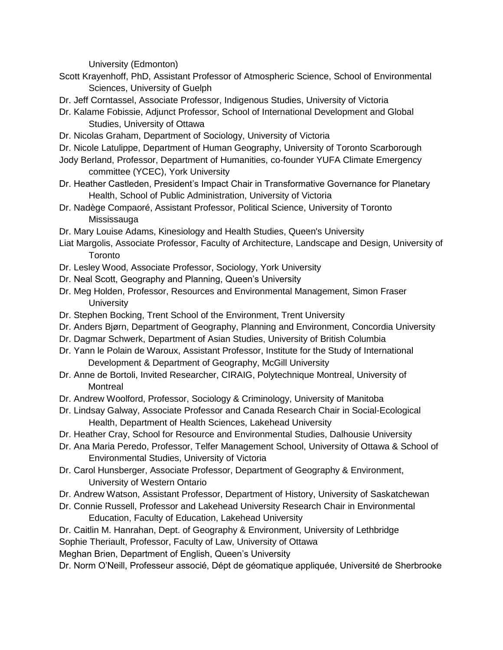University (Edmonton)

- Scott Krayenhoff, PhD, Assistant Professor of Atmospheric Science, School of Environmental Sciences, University of Guelph
- Dr. Jeff Corntassel, Associate Professor, Indigenous Studies, University of Victoria
- Dr. Kalame Fobissie, Adjunct Professor, School of International Development and Global Studies, University of Ottawa
- Dr. Nicolas Graham, Department of Sociology, University of Victoria
- Dr. Nicole Latulippe, Department of Human Geography, University of Toronto Scarborough
- Jody Berland, Professor, Department of Humanities, co-founder YUFA Climate Emergency committee (YCEC), York University
- Dr. Heather Castleden, President's Impact Chair in Transformative Governance for Planetary Health, School of Public Administration, University of Victoria
- Dr. Nadège Compaoré, Assistant Professor, Political Science, University of Toronto Mississauga
- Dr. Mary Louise Adams, Kinesiology and Health Studies, Queen's University
- Liat Margolis, Associate Professor, Faculty of Architecture, Landscape and Design, University of **Toronto**
- Dr. Lesley Wood, Associate Professor, Sociology, York University
- Dr. Neal Scott, Geography and Planning, Queen's University
- Dr. Meg Holden, Professor, Resources and Environmental Management, Simon Fraser **University**
- Dr. Stephen Bocking, Trent School of the Environment, Trent University
- Dr. Anders Bjørn, Department of Geography, Planning and Environment, Concordia University
- Dr. Dagmar Schwerk, Department of Asian Studies, University of British Columbia
- Dr. Yann le Polain de Waroux, Assistant Professor, Institute for the Study of International Development & Department of Geography, McGill University
- Dr. Anne de Bortoli, Invited Researcher, CIRAIG, Polytechnique Montreal, University of **Montreal**
- Dr. Andrew Woolford, Professor, Sociology & Criminology, University of Manitoba
- Dr. Lindsay Galway, Associate Professor and Canada Research Chair in Social-Ecological Health, Department of Health Sciences, Lakehead University
- Dr. Heather Cray, School for Resource and Environmental Studies, Dalhousie University
- Dr. Ana Maria Peredo, Professor, Telfer Management School, University of Ottawa & School of Environmental Studies, University of Victoria
- Dr. Carol Hunsberger, Associate Professor, Department of Geography & Environment, University of Western Ontario
- Dr. Andrew Watson, Assistant Professor, Department of History, University of Saskatchewan
- Dr. Connie Russell, Professor and Lakehead University Research Chair in Environmental Education, Faculty of Education, Lakehead University
- Dr. Caitlin M. Hanrahan, Dept. of Geography & Environment, University of Lethbridge

Sophie Theriault, Professor, Faculty of Law, University of Ottawa

Meghan Brien, Department of English, Queen's University

Dr. Norm O'Neill, Professeur associé, Dépt de géomatique appliquée, Université de Sherbrooke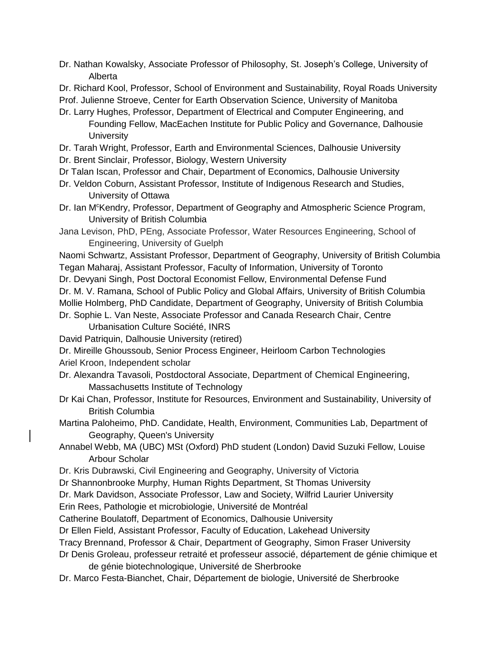- Dr. Nathan Kowalsky, Associate Professor of Philosophy, St. Joseph's College, University of Alberta
- Dr. Richard Kool, Professor, School of Environment and Sustainability, Royal Roads University
- Prof. Julienne Stroeve, Center for Earth Observation Science, University of Manitoba
- Dr. Larry Hughes, Professor, Department of Electrical and Computer Engineering, and Founding Fellow, MacEachen Institute for Public Policy and Governance, Dalhousie **University**
- Dr. Tarah Wright, Professor, Earth and Environmental Sciences, Dalhousie University
- Dr. Brent Sinclair, Professor, Biology, Western University
- Dr Talan Iscan, Professor and Chair, Department of Economics, Dalhousie University
- Dr. Veldon Coburn, Assistant Professor, Institute of Indigenous Research and Studies, University of Ottawa
- Dr. Ian M<sup>c</sup>Kendry, Professor, Department of Geography and Atmospheric Science Program, University of British Columbia
- Jana Levison, PhD, PEng, Associate Professor, Water Resources Engineering, School of Engineering, University of Guelph
- Naomi Schwartz, Assistant Professor, Department of Geography, University of British Columbia Tegan Maharaj, Assistant Professor, Faculty of Information, University of Toronto
- Dr. Devyani Singh, Post Doctoral Economist Fellow, Environmental Defense Fund
- Dr. M. V. Ramana, School of Public Policy and Global Affairs, University of British Columbia
- Mollie Holmberg, PhD Candidate, Department of Geography, University of British Columbia
- Dr. Sophie L. Van Neste, Associate Professor and Canada Research Chair, Centre Urbanisation Culture Société, INRS
- David Patriquin, Dalhousie University (retired)
- Dr. Mireille Ghoussoub, Senior Process Engineer, Heirloom Carbon Technologies Ariel Kroon, Independent scholar
- Dr. Alexandra Tavasoli, Postdoctoral Associate, Department of Chemical Engineering, Massachusetts Institute of Technology
- Dr Kai Chan, Professor, Institute for Resources, Environment and Sustainability, University of British Columbia
- Martina Paloheimo, PhD. Candidate, Health, Environment, Communities Lab, Department of Geography, Queen's University
- Annabel Webb, MA (UBC) MSt (Oxford) PhD student (London) David Suzuki Fellow, Louise Arbour Scholar
- Dr. Kris Dubrawski, Civil Engineering and Geography, University of Victoria
- Dr Shannonbrooke Murphy, Human Rights Department, St Thomas University
- Dr. Mark Davidson, Associate Professor, Law and Society, Wilfrid Laurier University
- Erin Rees, Pathologie et microbiologie, Université de Montréal
- Catherine Boulatoff, Department of Economics, Dalhousie University
- Dr Ellen Field, Assistant Professor, Faculty of Education, Lakehead University
- Tracy Brennand, Professor & Chair, Department of Geography, Simon Fraser University
- Dr Denis Groleau, professeur retraité et professeur associé, département de génie chimique et de génie biotechnologique, Université de Sherbrooke
- Dr. Marco Festa-Bianchet, Chair, Département de biologie, Université de Sherbrooke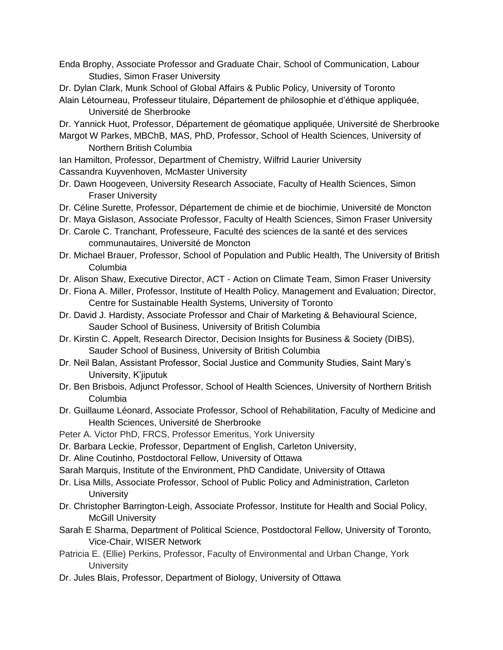- Enda Brophy, Associate Professor and Graduate Chair, School of Communication, Labour Studies, Simon Fraser University
- Dr. Dylan Clark, Munk School of Global Affairs & Public Policy, University of Toronto
- Alain Létourneau, Professeur titulaire, Département de philosophie et d'éthique appliquée, Université de Sherbrooke

Dr. Yannick Huot, Professor, Département de géomatique appliquée, Université de Sherbrooke Margot W Parkes, MBChB, MAS, PhD, Professor, School of Health Sciences, University of

Northern British Columbia

Ian Hamilton, Professor, Department of Chemistry, Wilfrid Laurier University Cassandra Kuyvenhoven, McMaster University

- Dr. Dawn Hoogeveen, University Research Associate, Faculty of Health Sciences, Simon Fraser University
- Dr. Céline Surette, Professor, Département de chimie et de biochimie, Université de Moncton
- Dr. Maya Gislason, Associate Professor, Faculty of Health Sciences, Simon Fraser University
- Dr. Carole C. Tranchant, Professeure, Faculté des sciences de la santé et des services communautaires, Université de Moncton
- Dr. Michael Brauer, Professor, School of Population and Public Health, The University of British Columbia
- Dr. Alison Shaw, Executive Director, ACT Action on Climate Team, Simon Fraser University
- Dr. Fiona A. Miller, Professor, Institute of Health Policy, Management and Evaluation; Director, Centre for Sustainable Health Systems, University of Toronto
- Dr. David J. Hardisty, Associate Professor and Chair of Marketing & Behavioural Science, Sauder School of Business, University of British Columbia
- Dr. Kirstin C. Appelt, Research Director, Decision Insights for Business & Society (DIBS), Sauder School of Business, University of British Columbia
- Dr. Neil Balan, Assistant Professor, Social Justice and Community Studies, Saint Mary's University, K'jiputuk
- Dr. Ben Brisbois, Adjunct Professor, School of Health Sciences, University of Northern British Columbia
- Dr. Guillaume Léonard, Associate Professor, School of Rehabilitation, Faculty of Medicine and Health Sciences, Université de Sherbrooke
- Peter A. Victor PhD, FRCS, Professor Emeritus, York University
- Dr. Barbara Leckie, Professor, Department of English, Carleton University,
- Dr. Aline Coutinho, Postdoctoral Fellow, University of Ottawa
- Sarah Marquis, Institute of the Environment, PhD Candidate, University of Ottawa
- Dr. Lisa Mills, Associate Professor, School of Public Policy and Administration, Carleton **University**
- Dr. Christopher Barrington-Leigh, Associate Professor, Institute for Health and Social Policy, McGill University
- Sarah E Sharma, Department of Political Science, Postdoctoral Fellow, University of Toronto, Vice-Chair, WISER Network
- Patricia E. (Ellie) Perkins, Professor, Faculty of Environmental and Urban Change, York **University**
- Dr. Jules Blais, Professor, Department of Biology, University of Ottawa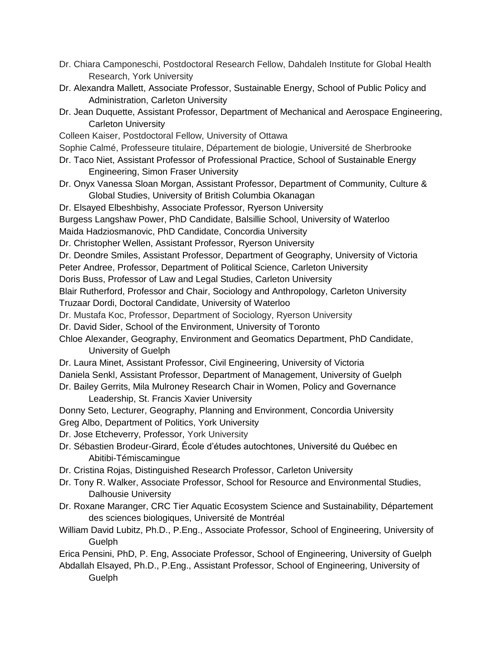- Dr. Chiara Camponeschi, Postdoctoral Research Fellow, Dahdaleh Institute for Global Health Research, York University
- Dr. Alexandra Mallett, Associate Professor, Sustainable Energy, School of Public Policy and Administration, Carleton University
- Dr. Jean Duquette, Assistant Professor, Department of Mechanical and Aerospace Engineering, Carleton University
- Colleen Kaiser, Postdoctoral Fellow, University of Ottawa
- Sophie Calmé, Professeure titulaire, Département de biologie, Université de Sherbrooke
- Dr. Taco Niet, Assistant Professor of Professional Practice, School of Sustainable Energy Engineering, Simon Fraser University
- Dr. Onyx Vanessa Sloan Morgan, Assistant Professor, Department of Community, Culture & Global Studies, University of British Columbia Okanagan
- Dr. Elsayed Elbeshbishy, Associate Professor, Ryerson University
- Burgess Langshaw Power, PhD Candidate, Balsillie School, University of Waterloo

Maida Hadziosmanovic, PhD Candidate, Concordia University

- Dr. Christopher Wellen, Assistant Professor, Ryerson University
- Dr. Deondre Smiles, Assistant Professor, Department of Geography, University of Victoria
- Peter Andree, Professor, Department of Political Science, Carleton University
- Doris Buss, Professor of Law and Legal Studies, Carleton University

Blair Rutherford, Professor and Chair, Sociology and Anthropology, Carleton University

- Truzaar Dordi, Doctoral Candidate, University of Waterloo
- Dr. Mustafa Koc, Professor, Department of Sociology, Ryerson University
- Dr. David Sider, School of the Environment, University of Toronto
- Chloe Alexander, Geography, Environment and Geomatics Department, PhD Candidate, University of Guelph
- Dr. Laura Minet, Assistant Professor, Civil Engineering, University of Victoria Daniela Senkl, Assistant Professor, Department of Management, University of Guelph
- Dr. Bailey Gerrits, Mila Mulroney Research Chair in Women, Policy and Governance
	- Leadership, St. Francis Xavier University
- Donny Seto, Lecturer, Geography, Planning and Environment, Concordia University
- Greg Albo, Department of Politics, York University
- Dr. Jose Etcheverry, Professor, York University
- Dr. Sébastien Brodeur-Girard, École d'études autochtones, Université du Québec en Abitibi-Témiscamingue
- Dr. Cristina Rojas, Distinguished Research Professor, Carleton University
- Dr. Tony R. Walker, Associate Professor, School for Resource and Environmental Studies, Dalhousie University
- Dr. Roxane Maranger, CRC Tier Aquatic Ecosystem Science and Sustainability, Département des sciences biologiques, Université de Montréal
- William David Lubitz, Ph.D., P.Eng., Associate Professor, School of Engineering, University of **Guelph**

Erica Pensini, PhD, P. Eng, Associate Professor, School of Engineering, University of Guelph

Abdallah Elsayed, Ph.D., P.Eng., Assistant Professor, School of Engineering, University of **Guelph**